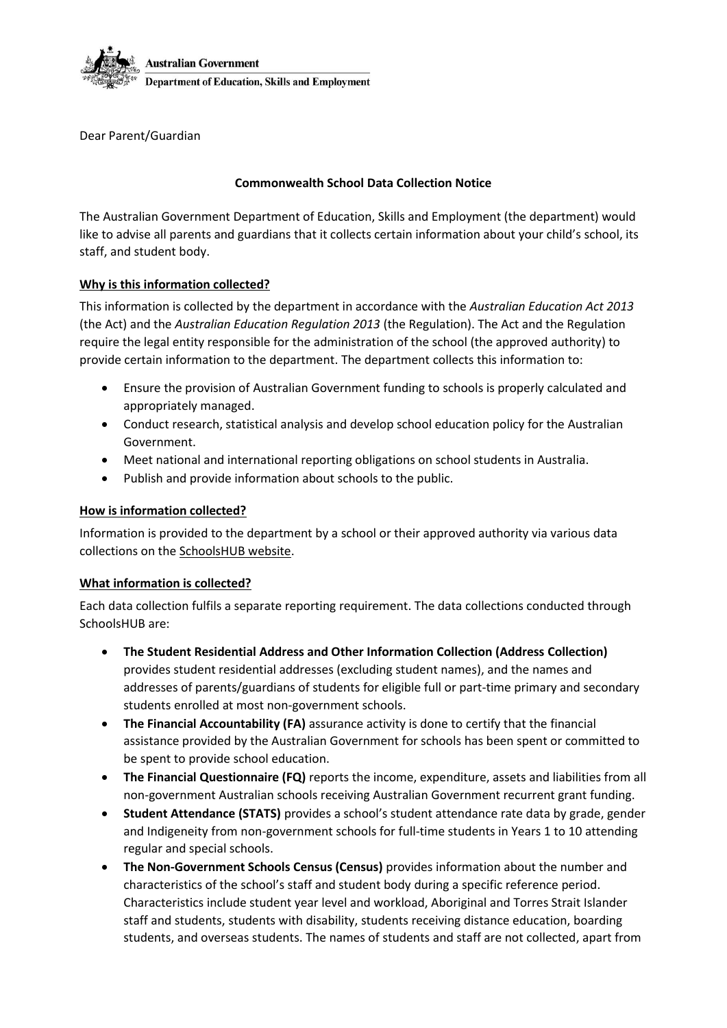

Dear Parent/Guardian

### **Commonwealth School Data Collection Notice**

The Australian Government Department of Education, Skills and Employment (the department) would like to advise all parents and guardians that it collects certain information about your child's school, its staff, and student body.

# **Why is this information collected?**

This information is collected by the department in accordance with the *Australian Education Act 2013*  (the Act) and the *Australian Education Regulation 2013* (the Regulation). The Act and the Regulation require the legal entity responsible for the administration of the school (the approved authority) to provide certain information to the department. The department collects this information to:

- Ensure the provision of Australian Government funding to schools is properly calculated and appropriately managed.
- Conduct research, statistical analysis and develop school education policy for the Australian Government.
- Meet national and international reporting obligations on school students in Australia.
- Publish and provide information about schools to the public.

### **How is information collected?**

Information is provided to the department by a school or their approved authority via various data collections on the [SchoolsHUB website.](https://schools.education.gov.au/)

#### **What information is collected?**

Each data collection fulfils a separate reporting requirement. The data collections conducted through SchoolsHUB are:

- **The Student Residential Address and Other Information Collection (Address Collection)**  provides student residential addresses (excluding student names), and the names and addresses of parents/guardians of students for eligible full or part-time primary and secondary students enrolled at most non-government schools.
- **The Financial Accountability (FA)** assurance activity is done to certify that the financial assistance provided by the Australian Government for schools has been spent or committed to be spent to provide school education.
- **The Financial Questionnaire (FQ)** reports the income, expenditure, assets and liabilities from all non-government Australian schools receiving Australian Government recurrent grant funding.
- **Student Attendance (STATS)** provides a school's student attendance rate data by grade, gender and Indigeneity from non-government schools for full-time students in Years 1 to 10 attending regular and special schools.
- **The Non-Government Schools Census (Census)** provides information about the number and characteristics of the school's staff and student body during a specific reference period. Characteristics include student year level and workload, Aboriginal and Torres Strait Islander staff and students, students with disability, students receiving distance education, boarding students, and overseas students. The names of students and staff are not collected, apart from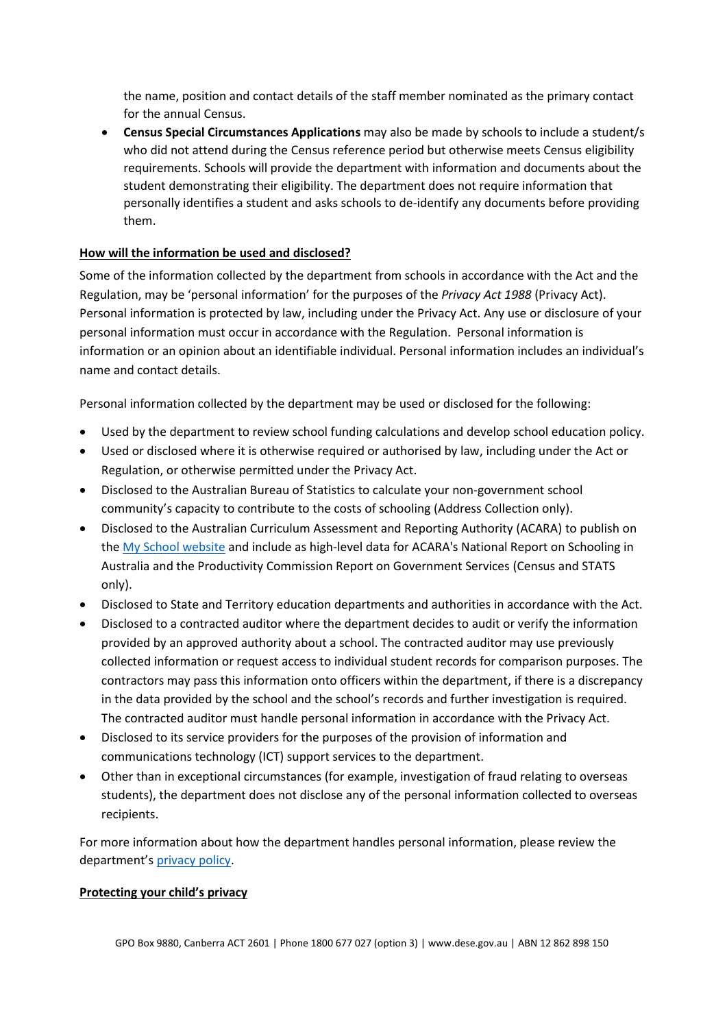the name, position and contact details of the staff member nominated as the primary contact for the annual Census.

• **Census Special Circumstances Applications** may also be made by schools to include a student/s who did not attend during the Census reference period but otherwise meets Census eligibility requirements. Schools will provide the department with information and documents about the student demonstrating their eligibility. The department does not require information that personally identifies a student and asks schools to de-identify any documents before providing them.

# **How will the information be used and disclosed?**

Some of the information collected by the department from schools in accordance with the Act and the Regulation, may be 'personal information' for the purposes of the *Privacy Act 1988* (Privacy Act). Personal information is protected by law, including under the Privacy Act. Any use or disclosure of your personal information must occur in accordance with the Regulation. Personal information is information or an opinion about an identifiable individual. Personal information includes an individual's name and contact details.

Personal information collected by the department may be used or disclosed for the following:

- Used by the department to review school funding calculations and develop school education policy.
- Used or disclosed where it is otherwise required or authorised by law, including under the Act or Regulation, or otherwise permitted under the Privacy Act.
- Disclosed to the Australian Bureau of Statistics to calculate your non-government school community's capacity to contribute to the costs of schooling (Address Collection only).
- Disclosed to the Australian Curriculum Assessment and Reporting Authority (ACARA) to publish on th[e My School website](http://www.myschool.edu.au/) and include as high-level data for ACARA's National Report on Schooling in Australia and the Productivity Commission Report on Government Services (Census and STATS only).
- Disclosed to State and Territory education departments and authorities in accordance with the Act.
- Disclosed to a contracted auditor where the department decides to audit or verify the information provided by an approved authority about a school. The contracted auditor may use previously collected information or request access to individual student records for comparison purposes. The contractors may pass this information onto officers within the department, if there is a discrepancy in the data provided by the school and the school's records and further investigation is required. The contracted auditor must handle personal information in accordance with the Privacy Act.
- Disclosed to its service providers for the purposes of the provision of information and communications technology (ICT) support services to the department.
- Other than in exceptional circumstances (for example, investigation of fraud relating to overseas students), the department does not disclose any of the personal information collected to overseas recipients.

For more information about how the department handles personal information, please review the department's [privacy policy.](https://www.dese.gov.au/using-site/privacy)

# **Protecting your child's privacy**